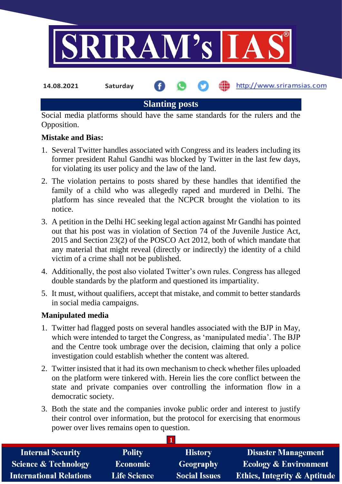

# **Slanting posts**

Social media platforms should have the same standards for the rulers and the Opposition.

## **Mistake and Bias:**

- 1. Several Twitter handles associated with Congress and its leaders including its former president Rahul Gandhi was blocked by Twitter in the last few days, for violating its user policy and the law of the land.
- 2. The violation pertains to posts shared by these handles that identified the family of a child who was allegedly raped and murdered in Delhi. The platform has since revealed that the NCPCR brought the violation to its notice.
- 3. A petition in the Delhi HC seeking legal action against Mr Gandhi has pointed out that his post was in violation of Section 74 of the Juvenile Justice Act, 2015 and Section 23(2) of the POSCO Act 2012, both of which mandate that any material that might reveal (directly or indirectly) the identity of a child victim of a crime shall not be published.
- 4. Additionally, the post also violated Twitter's own rules. Congress has alleged double standards by the platform and questioned its impartiality.
- 5. It must, without qualifiers, accept that mistake, and commit to better standards in social media campaigns.

## **Manipulated media**

- 1. Twitter had flagged posts on several handles associated with the BJP in May, which were intended to target the Congress, as 'manipulated media'. The BJP and the Centre took umbrage over the decision, claiming that only a police investigation could establish whether the content was altered.
- 2. Twitter insisted that it had its own mechanism to check whether files uploaded on the platform were tinkered with. Herein lies the core conflict between the state and private companies over controlling the information flow in a democratic society.
- 3. Both the state and the companies invoke public order and interest to justify their control over information, but the protocol for exercising that enormous power over lives remains open to question.

**1**

| <b>Internal Security</b>        | <b>Polity</b>       | <b>History</b>       | <b>Disaster Management</b>              |  |  |
|---------------------------------|---------------------|----------------------|-----------------------------------------|--|--|
| <b>Science &amp; Technology</b> | <b>Economic</b>     | Geography            | <b>Ecology &amp; Environment</b>        |  |  |
| <b>International Relations</b>  | <b>Life Science</b> | <b>Social Issues</b> | <b>Ethics, Integrity &amp; Aptitude</b> |  |  |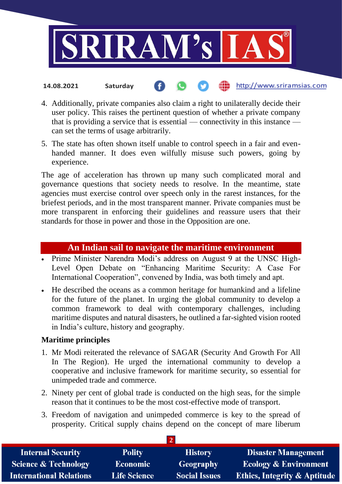

### the http://www.sriramsias.com **14.08.2021 Saturday**

- 4. Additionally, private companies also claim a right to unilaterally decide their user policy. This raises the pertinent question of whether a private company that is providing a service that is essential — connectivity in this instance can set the terms of usage arbitrarily.
- 5. The state has often shown itself unable to control speech in a fair and evenhanded manner. It does even wilfully misuse such powers, going by experience.

The age of acceleration has thrown up many such complicated moral and governance questions that society needs to resolve. In the meantime, state agencies must exercise control over speech only in the rarest instances, for the briefest periods, and in the most transparent manner. Private companies must be more transparent in enforcing their guidelines and reassure users that their standards for those in power and those in the Opposition are one.

## **An Indian sail to navigate the maritime environment**

- Prime Minister Narendra Modi's address on August 9 at the UNSC High-Level Open Debate on "Enhancing Maritime Security: A Case For International Cooperation", convened by India, was both timely and apt.
- He described the oceans as a common heritage for humankind and a lifeline for the future of the planet. In urging the global community to develop a common framework to deal with contemporary challenges, including maritime disputes and natural disasters, he outlined a far-sighted vision rooted in India's culture, history and geography.

## **Maritime principles**

- 1. Mr Modi reiterated the relevance of SAGAR (Security And Growth For All In The Region). He urged the international community to develop a cooperative and inclusive framework for maritime security, so essential for unimpeded trade and commerce.
- 2. Ninety per cent of global trade is conducted on the high seas, for the simple reason that it continues to be the most cost-effective mode of transport.
- 3. Freedom of navigation and unimpeded commerce is key to the spread of prosperity. Critical supply chains depend on the concept of mare liberum

| <b>Internal Security</b>        | <b>Polity</b>       | <b>History</b>       | <b>Disaster Management</b>              |  |  |  |
|---------------------------------|---------------------|----------------------|-----------------------------------------|--|--|--|
| <b>Science &amp; Technology</b> | <b>Economic</b>     | <b>Geography</b>     | <b>Ecology &amp; Environment</b>        |  |  |  |
| <b>International Relations</b>  | <b>Life Science</b> | <b>Social Issues</b> | <b>Ethics, Integrity &amp; Aptitude</b> |  |  |  |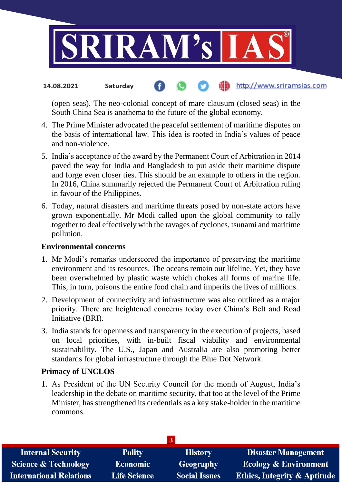

#### the http://www.sriramsias.com **14.08.2021 Saturday**

(open seas). The neo-colonial concept of mare clausum (closed seas) in the South China Sea is anathema to the future of the global economy.

- 4. The Prime Minister advocated the peaceful settlement of maritime disputes on the basis of international law. This idea is rooted in India's values of peace and non-violence.
- 5. India's acceptance of the award by the Permanent Court of Arbitration in 2014 paved the way for India and Bangladesh to put aside their maritime dispute and forge even closer ties. This should be an example to others in the region. In 2016, China summarily rejected the Permanent Court of Arbitration ruling in favour of the Philippines.
- 6. Today, natural disasters and maritime threats posed by non-state actors have grown exponentially. Mr Modi called upon the global community to rally together to deal effectively with the ravages of cyclones, tsunami and maritime pollution.

## **Environmental concerns**

- 1. Mr Modi's remarks underscored the importance of preserving the maritime environment and its resources. The oceans remain our lifeline. Yet, they have been overwhelmed by plastic waste which chokes all forms of marine life. This, in turn, poisons the entire food chain and imperils the lives of millions.
- 2. Development of connectivity and infrastructure was also outlined as a major priority. There are heightened concerns today over China's Belt and Road Initiative (BRI).
- 3. India stands for openness and transparency in the execution of projects, based on local priorities, with in-built fiscal viability and environmental sustainability. The U.S., Japan and Australia are also promoting better standards for global infrastructure through the Blue Dot Network.

## **Primacy of UNCLOS**

1. As President of the UN Security Council for the month of August, India's leadership in the debate on maritime security, that too at the level of the Prime Minister, has strengthened its credentials as a key stake-holder in the maritime commons.

| <b>Internal Security</b>        | <b>Polity</b>       | <b>History</b>       | <b>Disaster Management</b>              |  |  |
|---------------------------------|---------------------|----------------------|-----------------------------------------|--|--|
| <b>Science &amp; Technology</b> | <b>Economic</b>     | <b>Geography</b>     | <b>Ecology &amp; Environment</b>        |  |  |
| <b>International Relations</b>  | <b>Life Science</b> | <b>Social Issues</b> | <b>Ethics, Integrity &amp; Aptitude</b> |  |  |